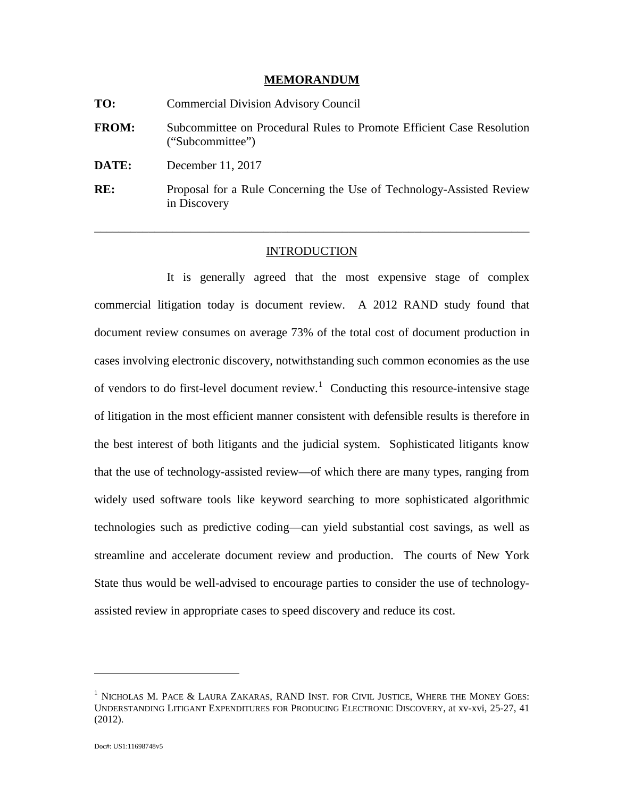### **MEMORANDUM**

| TO:          | <b>Commercial Division Advisory Council</b>                                               |
|--------------|-------------------------------------------------------------------------------------------|
| <b>FROM:</b> | Subcommittee on Procedural Rules to Promote Efficient Case Resolution<br>("Subcommittee") |
| DATE:        | December 11, 2017                                                                         |
| RE:          | Proposal for a Rule Concerning the Use of Technology-Assisted Review<br>in Discovery      |

## INTRODUCTION

\_\_\_\_\_\_\_\_\_\_\_\_\_\_\_\_\_\_\_\_\_\_\_\_\_\_\_\_\_\_\_\_\_\_\_\_\_\_\_\_\_\_\_\_\_\_\_\_\_\_\_\_\_\_\_\_\_\_\_\_\_\_\_\_\_\_\_\_\_\_\_\_

It is generally agreed that the most expensive stage of complex commercial litigation today is document review. A 2012 RAND study found that document review consumes on average 73% of the total cost of document production in cases involving electronic discovery, notwithstanding such common economies as the use of vendors to do first-level document review.<sup>[1](#page-0-0)</sup> Conducting this resource-intensive stage of litigation in the most efficient manner consistent with defensible results is therefore in the best interest of both litigants and the judicial system. Sophisticated litigants know that the use of technology-assisted review—of which there are many types, ranging from widely used software tools like keyword searching to more sophisticated algorithmic technologies such as predictive coding—can yield substantial cost savings, as well as streamline and accelerate document review and production. The courts of New York State thus would be well-advised to encourage parties to consider the use of technologyassisted review in appropriate cases to speed discovery and reduce its cost.

<span id="page-0-0"></span> $^{\rm 1}$  NICHOLAS M. PACE & LAURA ZAKARAS, RAND INST. FOR CIVIL JUSTICE, WHERE THE MONEY GOES: UNDERSTANDING LITIGANT EXPENDITURES FOR PRODUCING ELECTRONIC DISCOVERY, at xv-xvi, 25-27, 41 (2012).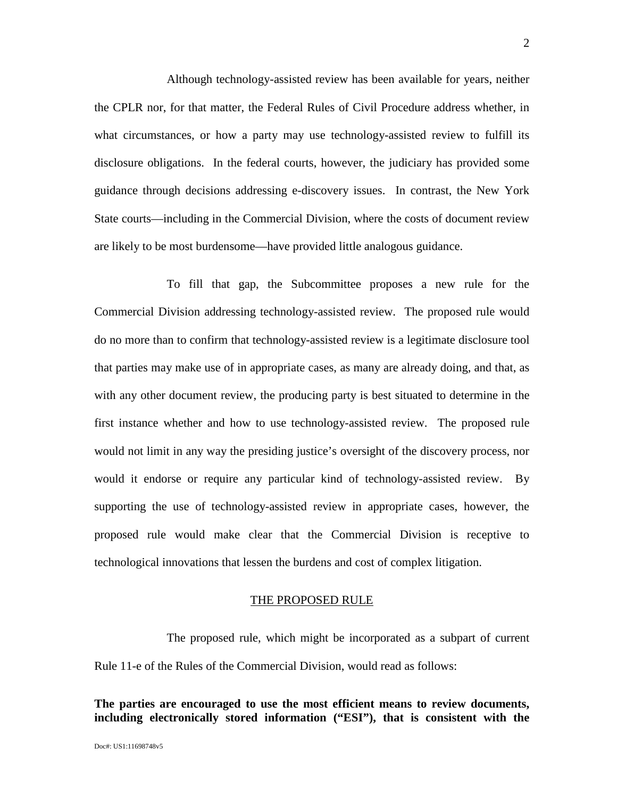Although technology-assisted review has been available for years, neither the CPLR nor, for that matter, the Federal Rules of Civil Procedure address whether, in what circumstances, or how a party may use technology-assisted review to fulfill its disclosure obligations. In the federal courts, however, the judiciary has provided some guidance through decisions addressing e-discovery issues. In contrast, the New York State courts—including in the Commercial Division, where the costs of document review are likely to be most burdensome—have provided little analogous guidance.

To fill that gap, the Subcommittee proposes a new rule for the Commercial Division addressing technology-assisted review. The proposed rule would do no more than to confirm that technology-assisted review is a legitimate disclosure tool that parties may make use of in appropriate cases, as many are already doing, and that, as with any other document review, the producing party is best situated to determine in the first instance whether and how to use technology-assisted review. The proposed rule would not limit in any way the presiding justice's oversight of the discovery process, nor would it endorse or require any particular kind of technology-assisted review. By supporting the use of technology-assisted review in appropriate cases, however, the proposed rule would make clear that the Commercial Division is receptive to technological innovations that lessen the burdens and cost of complex litigation.

### THE PROPOSED RULE

The proposed rule, which might be incorporated as a subpart of current Rule 11-e of the Rules of the Commercial Division, would read as follows:

# **The parties are encouraged to use the most efficient means to review documents, including electronically stored information ("ESI"), that is consistent with the**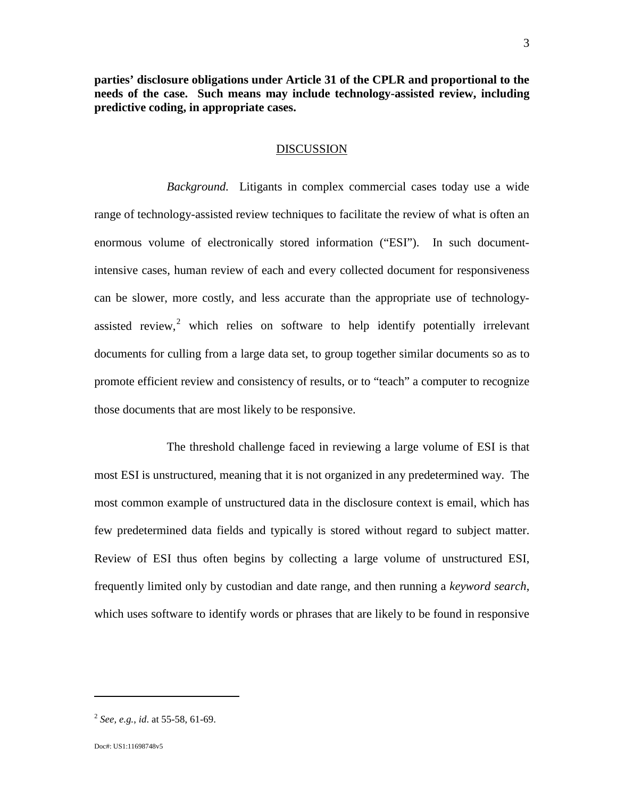**parties' disclosure obligations under Article 31 of the CPLR and proportional to the needs of the case. Such means may include technology-assisted review, including predictive coding, in appropriate cases.**

## DISCUSSION

*Background.* Litigants in complex commercial cases today use a wide range of technology-assisted review techniques to facilitate the review of what is often an enormous volume of electronically stored information ("ESI"). In such documentintensive cases, human review of each and every collected document for responsiveness can be slower, more costly, and less accurate than the appropriate use of technologyassisted review, $2$  which relies on software to help identify potentially irrelevant documents for culling from a large data set, to group together similar documents so as to promote efficient review and consistency of results, or to "teach" a computer to recognize those documents that are most likely to be responsive.

The threshold challenge faced in reviewing a large volume of ESI is that most ESI is unstructured, meaning that it is not organized in any predetermined way. The most common example of unstructured data in the disclosure context is email, which has few predetermined data fields and typically is stored without regard to subject matter. Review of ESI thus often begins by collecting a large volume of unstructured ESI, frequently limited only by custodian and date range, and then running a *keyword search*, which uses software to identify words or phrases that are likely to be found in responsive

<span id="page-2-0"></span><sup>2</sup> *See, e.g.*, *id*. at 55-58, 61-69.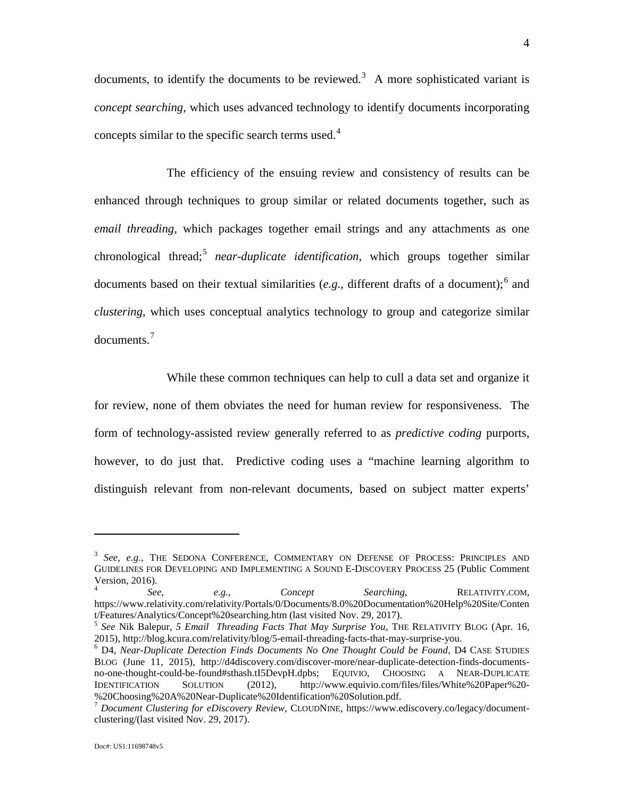documents, to identify the documents to be reviewed.<sup>[3](#page-3-0)</sup> A more sophisticated variant is *concept searching*, which uses advanced technology to identify documents incorporating concepts similar to the specific search terms used.<sup>[4](#page-3-1)</sup>

The efficiency of the ensuing review and consistency of results can be enhanced through techniques to group similar or related documents together, such as *email threading*, which packages together email strings and any attachments as one chronological thread; [5](#page-3-2) *near-duplicate identification*, which groups together similar documents based on their textual similarities (e.g., different drafts of a document);<sup>[6](#page-3-3)</sup> and *clustering*, which uses conceptual analytics technology to group and categorize similar documents. [7](#page-3-4)

While these common techniques can help to cull a data set and organize it for review, none of them obviates the need for human review for responsiveness. The form of technology-assisted review generally referred to as *predictive coding* purports, however, to do just that. Predictive coding uses a "machine learning algorithm to distinguish relevant from non-relevant documents, based on subject matter experts'

<span id="page-3-0"></span><sup>3</sup> *See, e.g.,* THE SEDONA CONFERENCE, COMMENTARY ON DEFENSE OF PROCESS: PRINCIPLES AND GUIDELINES FOR DEVELOPING AND IMPLEMENTING A SOUND E-DISCOVERY PROCESS 25 (Public Comment Version, 2016).

<span id="page-3-1"></span><sup>4</sup> *See, e.g.*, *Concept Searching*, RELATIVITY.COM, https://www.relativity.com/relativity/Portals/0/Documents/8.0%20Documentation%20Help%20Site/Conten t/Features/Analytics/Concept%20searching.htm (last visited Nov. 29, 2017).

<span id="page-3-2"></span><sup>&</sup>lt;sup>5</sup> See Nik Balepur, 5 *Email Threading Facts That May Surprise You*, THE RELATIVITY BLOG (Apr. 16, 2015), http://blog.kcura.com/relativity/blog/5-email-threading-facts-that-may-surprise-you.

<span id="page-3-3"></span><sup>&</sup>lt;sup>6</sup> D4, Near-Duplicate Detection Finds Documents No One Thought Could be Found, D4 CASE STUDIES BLOG (June 11, 2015), http://d4discovery.com/discover-more/near-duplicate-detection-finds-documentsno-one-thought-could-be-found#sthash.tI5DevpH.dpbs; EQUIVIO, CHOOSING A NEAR-DUPLICATE IDENTIFICATION SOLUTION (2012), http://www.equivio.com/files/files/White%20Paper%20-%20Choosing%20A%20Near-Duplicate%20Identification%20Solution.pdf.

<span id="page-3-4"></span><sup>&</sup>lt;sup>7</sup> Document Clustering for eDiscovery Review, CLOUDNINE, https://www.ediscovery.co/legacy/documentclustering/(last visited Nov. 29, 2017).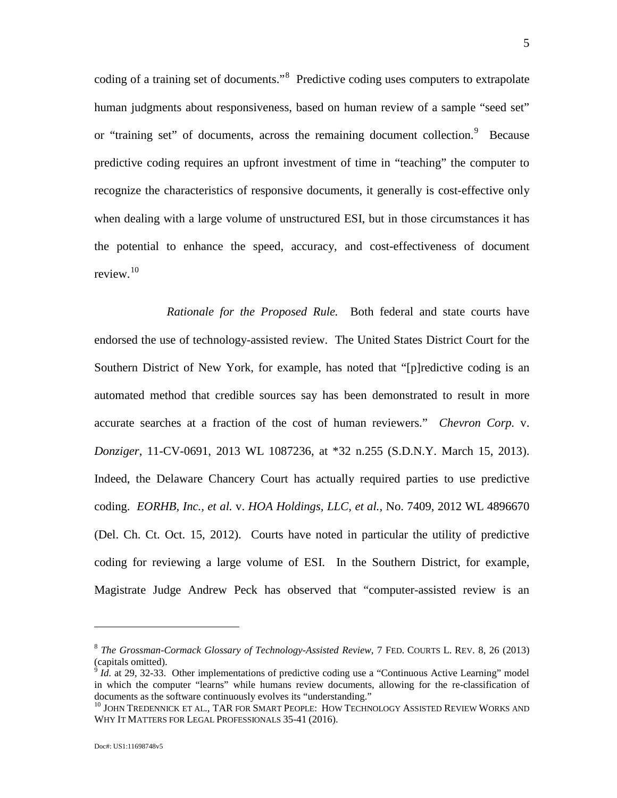coding of a training set of documents."<sup>[8](#page-4-0)</sup> Predictive coding uses computers to extrapolate human judgments about responsiveness, based on human review of a sample "seed set" or "training set" of documents, across the remaining document collection.<sup>[9](#page-4-1)</sup> Because predictive coding requires an upfront investment of time in "teaching" the computer to recognize the characteristics of responsive documents, it generally is cost-effective only when dealing with a large volume of unstructured ESI, but in those circumstances it has the potential to enhance the speed, accuracy, and cost-effectiveness of document review.[10](#page-4-2) 

*Rationale for the Proposed Rule.* Both federal and state courts have endorsed the use of technology-assisted review. The United States District Court for the Southern District of New York, for example, has noted that "[p]redictive coding is an automated method that credible sources say has been demonstrated to result in more accurate searches at a fraction of the cost of human reviewers." *Chevron Corp.* v. *Donziger*, 11-CV-0691, 2013 WL 1087236, at \*32 n.255 (S.D.N.Y. March 15, 2013). Indeed, the Delaware Chancery Court has actually required parties to use predictive coding. *EORHB, Inc., et al.* v. *HOA Holdings, LLC, et al.*, No. 7409, 2012 WL 4896670 (Del. Ch. Ct. Oct. 15, 2012). Courts have noted in particular the utility of predictive coding for reviewing a large volume of ESI. In the Southern District, for example, Magistrate Judge Andrew Peck has observed that "computer-assisted review is an

<span id="page-4-0"></span><sup>8</sup> *The Grossman-Cormack Glossary of Technology-Assisted Review*, 7 FED. COURTS L. REV. 8, 26 (2013) (capitals omitted).<br><sup>9</sup> *Id.* at 29, 32-33. Other implementations of predictive coding use a "Continuous Active Learning" model

<span id="page-4-1"></span>in which the computer "learns" while humans review documents, allowing for the re-classification of documents as the software continuously evolves its "understanding."

<span id="page-4-2"></span><sup>&</sup>lt;sup>10</sup> JOHN TREDENNICK ET AL., TAR FOR SMART PEOPLE: HOW TECHNOLOGY ASSISTED REVIEW WORKS AND WHY IT MATTERS FOR LEGAL PROFESSIONALS 35-41 (2016).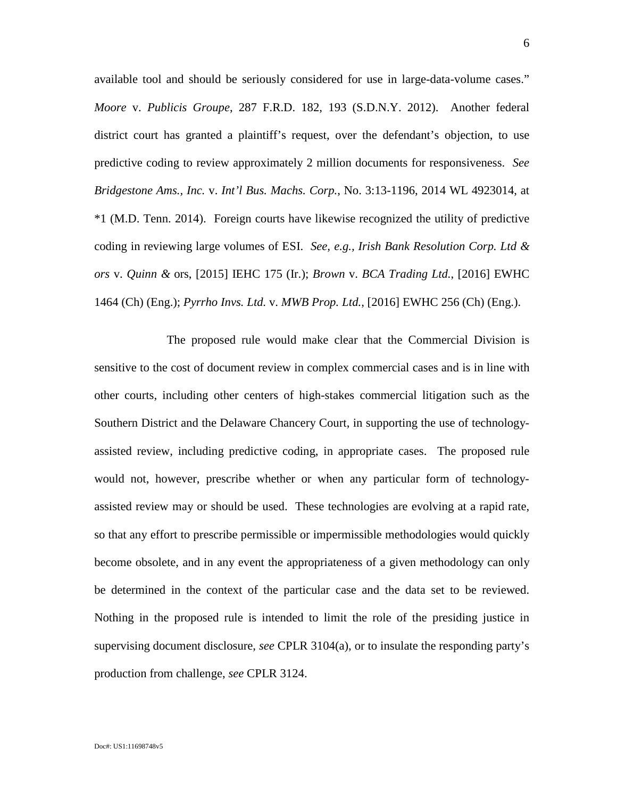available tool and should be seriously considered for use in large-data-volume cases." *Moore* v. *Publicis Groupe*, 287 F.R.D. 182, 193 (S.D.N.Y. 2012). Another federal district court has granted a plaintiff's request, over the defendant's objection, to use predictive coding to review approximately 2 million documents for responsiveness. *See Bridgestone Ams., Inc.* v. *Int'l Bus. Machs. Corp.*, No. 3:13-1196, 2014 WL 4923014, at \*1 (M.D. Tenn. 2014). Foreign courts have likewise recognized the utility of predictive coding in reviewing large volumes of ESI. *See, e.g., Irish Bank Resolution Corp. Ltd & ors* v. *Quinn &* ors, [2015] IEHC 175 (Ir.); *Brown* v. *BCA Trading Ltd.*, [2016] EWHC 1464 (Ch) (Eng.); *Pyrrho Invs. Ltd.* v. *MWB Prop. Ltd.*, [2016] EWHC 256 (Ch) (Eng.).

The proposed rule would make clear that the Commercial Division is sensitive to the cost of document review in complex commercial cases and is in line with other courts, including other centers of high-stakes commercial litigation such as the Southern District and the Delaware Chancery Court, in supporting the use of technologyassisted review, including predictive coding, in appropriate cases. The proposed rule would not, however, prescribe whether or when any particular form of technologyassisted review may or should be used. These technologies are evolving at a rapid rate, so that any effort to prescribe permissible or impermissible methodologies would quickly become obsolete, and in any event the appropriateness of a given methodology can only be determined in the context of the particular case and the data set to be reviewed. Nothing in the proposed rule is intended to limit the role of the presiding justice in supervising document disclosure, *see* CPLR 3104(a), or to insulate the responding party's production from challenge, *see* CPLR 3124.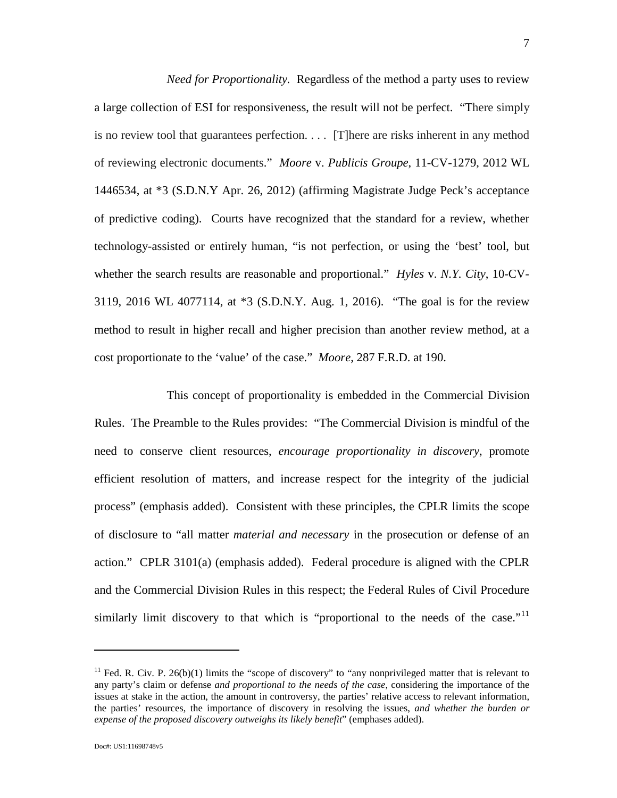*Need for Proportionality.* Regardless of the method a party uses to review a large collection of ESI for responsiveness, the result will not be perfect. "There simply is no review tool that guarantees perfection. . . . [T]here are risks inherent in any method of reviewing electronic documents." *Moore* v. *Publicis Groupe*, 11-CV-1279, 2012 WL 1446534, at \*3 (S.D.N.Y Apr. 26, 2012) (affirming Magistrate Judge Peck's acceptance of predictive coding). Courts have recognized that the standard for a review, whether technology-assisted or entirely human, "is not perfection, or using the 'best' tool, but whether the search results are reasonable and proportional." *Hyles* v. *N.Y. City*, 10-CV-3119, 2016 WL 4077114, at \*3 (S.D.N.Y. Aug. 1, 2016). "The goal is for the review method to result in higher recall and higher precision than another review method, at a cost proportionate to the 'value' of the case." *Moore*, 287 F.R.D. at 190.

This concept of proportionality is embedded in the Commercial Division Rules. The Preamble to the Rules provides: "The Commercial Division is mindful of the need to conserve client resources, *encourage proportionality in discovery*, promote efficient resolution of matters, and increase respect for the integrity of the judicial process" (emphasis added). Consistent with these principles, the CPLR limits the scope of disclosure to "all matter *material and necessary* in the prosecution or defense of an action." CPLR 3101(a) (emphasis added). Federal procedure is aligned with the CPLR and the Commercial Division Rules in this respect; the Federal Rules of Civil Procedure similarly limit discovery to that which is "proportional to the needs of the case." $\frac{1}{11}$  $\frac{1}{11}$  $\frac{1}{11}$ 

<span id="page-6-0"></span><sup>&</sup>lt;sup>11</sup> Fed. R. Civ. P. 26(b)(1) limits the "scope of discovery" to "any nonprivileged matter that is relevant to any party's claim or defense *and proportional to the needs of the case*, considering the importance of the issues at stake in the action, the amount in controversy, the parties' relative access to relevant information, the parties' resources, the importance of discovery in resolving the issues, *and whether the burden or expense of the proposed discovery outweighs its likely benefit*" (emphases added).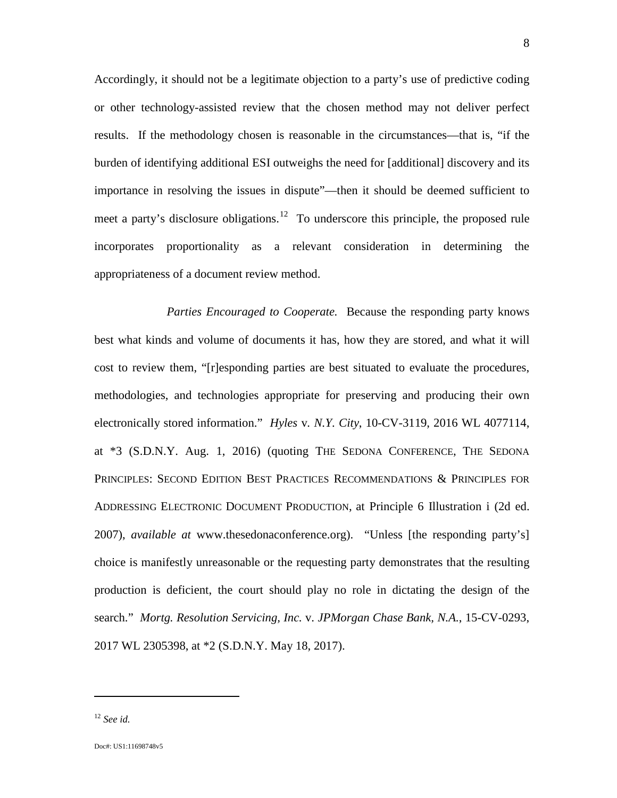Accordingly, it should not be a legitimate objection to a party's use of predictive coding or other technology-assisted review that the chosen method may not deliver perfect results. If the methodology chosen is reasonable in the circumstances—that is, "if the burden of identifying additional ESI outweighs the need for [additional] discovery and its importance in resolving the issues in dispute"—then it should be deemed sufficient to meet a party's disclosure obligations.<sup>12</sup> To underscore this principle, the proposed rule incorporates proportionality as a relevant consideration in determining the appropriateness of a document review method.

*Parties Encouraged to Cooperate.* Because the responding party knows best what kinds and volume of documents it has, how they are stored, and what it will cost to review them, "[r]esponding parties are best situated to evaluate the procedures, methodologies, and technologies appropriate for preserving and producing their own electronically stored information." *Hyles* v*. N.Y. City*, 10-CV-3119, 2016 WL 4077114, at \*3 (S.D.N.Y. Aug. 1, 2016) (quoting THE SEDONA CONFERENCE, THE SEDONA PRINCIPLES: SECOND EDITION BEST PRACTICES RECOMMENDATIONS & PRINCIPLES FOR ADDRESSING ELECTRONIC DOCUMENT PRODUCTION, at Principle 6 Illustration i (2d ed. 2007), *available at* www.thesedonaconference.org). "Unless [the responding party's] choice is manifestly unreasonable or the requesting party demonstrates that the resulting production is deficient, the court should play no role in dictating the design of the search." *Mortg. Resolution Servicing, Inc.* v. *JPMorgan Chase Bank, N.A.*, 15-CV-0293, 2017 WL 2305398, at \*2 (S.D.N.Y. May 18, 2017).

<span id="page-7-0"></span><sup>12</sup> *See id.*

 $\overline{a}$ 

Doc#: US1:11698748v5